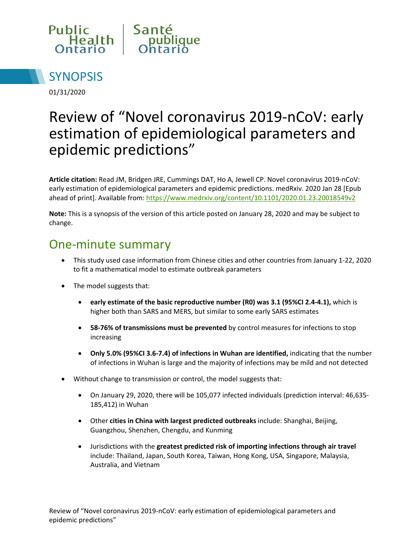



01/31/2020

# Review of "Novel coronavirus 2019-nCoV: early estimation of epidemiological parameters and epidemic predictions"

**Article citation:** Read JM, Bridgen JRE, Cummings DAT, Ho A, Jewell CP. Novel coronavirus 2019-nCoV: early estimation of epidemiological parameters and epidemic predictions. medRxiv. 2020 Jan 28 [Epub ahead of print]. Available from:<https://www.medrxiv.org/content/10.1101/2020.01.23.20018549v2>

**Note:** This is a synopsis of the version of this article posted on January 28, 2020 and may be subject to change.

#### One-minute summary

- This study used case information from Chinese cities and other countries from January 1-22, 2020 to fit a mathematical model to estimate outbreak parameters
- The model suggests that:
	- **early estimate of the basic reproductive number (R0) was 3.1 (95%CI 2.4-4.1),** which is higher both than SARS and MERS, but similar to some early SARS estimates
	- **58-76% of transmissions must be prevented** by control measures for infections to stop increasing
	- **Only 5.0% (95%CI 3.6-7.4) of infections in Wuhan are identified,** indicating that the number of infections in Wuhan is large and the majority of infections may be mild and not detected
- Without change to transmission or control, the model suggests that:
	- On January 29, 2020, there will be 105,077 infected individuals (prediction interval: 46,635- 185,412) in Wuhan
	- Other **cities in China with largest predicted outbreaks** include: Shanghai, Beijing, Guangzhou, Shenzhen, Chengdu, and Kunming
	- Jurisdictions with the **greatest predicted risk of importing infections through air travel** include: Thailand, Japan, South Korea, Taiwan, Hong Kong, USA, Singapore, Malaysia, Australia, and Vietnam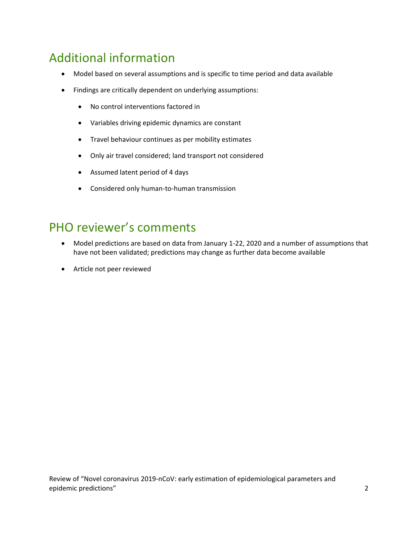### Additional information

- Model based on several assumptions and is specific to time period and data available
- Findings are critically dependent on underlying assumptions:
	- No control interventions factored in
	- Variables driving epidemic dynamics are constant
	- Travel behaviour continues as per mobility estimates
	- Only air travel considered; land transport not considered
	- Assumed latent period of 4 days
	- Considered only human-to-human transmission

#### PHO reviewer's comments

- Model predictions are based on data from January 1-22, 2020 and a number of assumptions that have not been validated; predictions may change as further data become available
- Article not peer reviewed